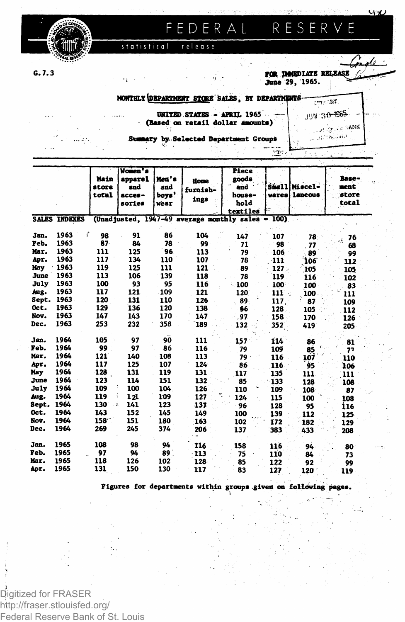

# FEDERA L RESERV E

**statistical release**

s,

**6.7.3** 

### **FOR DEEDLATE RELEASE Jtoe 29, 1965.**

 $\mathbb{E}$ 

JUN 30-1965  $\mathcal{L}_{\mathcal{A}}$  ,  $\mathcal{L}_{\mathcal{B}}$  ,  $\mathcal{L}_{\mathcal{B}}$  , and المشترة والمناقبين

 $uv$ 

**MONTHLY(DEPARTMENT STORK SALES. BY L'nv** 

> **UNITED.STATES -APRIL 1965 (Based on retail dollar amounts)**

**•ary by..Selected Department Groups**

|              |                |                        | Women's                                |                               |                                                     | Piece                                      |                |                          |                                 |
|--------------|----------------|------------------------|----------------------------------------|-------------------------------|-----------------------------------------------------|--------------------------------------------|----------------|--------------------------|---------------------------------|
|              |                | Main<br>store<br>total | apparel<br>and<br>$access -$<br>sories | Men's<br>and<br>boys!<br>wear | Home<br>furnish-<br>ings                            | goods<br>and<br>house-<br>hold<br>textiles | vares          | Small Miscel-<br>laneous | Base-<br>ment<br>store<br>total |
| <b>SALES</b> | <b>INDEXES</b> |                        |                                        |                               | (Unadjusted, $1947-49$ average monthly sales = 100) |                                            |                |                          |                                 |
| Jan.         | t,<br>1963     | 98                     | 91                                     | 86                            | 104                                                 | 147                                        | 107            |                          |                                 |
| Feb.         | 1963           | 87                     | 84                                     | 78.                           | 99                                                  |                                            |                | 78                       | 76                              |
| Mar.         | 1963           | 111                    | 125                                    | 96 َ                          | 113                                                 | 71                                         | 98             | 77                       | 68                              |
| Apr.         | 1963           | 117                    | 134                                    | 110                           | 107                                                 | 79                                         | 106            | 89                       | 99                              |
| May          | 1963           | 119                    | 125                                    | 111                           | 121                                                 | 78                                         | $\mathbf{111}$ | 106                      | 112                             |
| June         | 1963           | 113                    | 106                                    | 139                           | 118                                                 | 89                                         | $127 -$        | 105                      | 105                             |
| July         | 1963           | 100                    | 93                                     | 95                            | 116                                                 | 78                                         | 119            | 116                      | 102                             |
| Aug.         | 1963           | 117                    | 121                                    | 109                           | 121                                                 | 100                                        | 100            | 100                      | 83                              |
| Sept.        | 1963           | 120                    | 131                                    | 110                           |                                                     | 120                                        | 111            | 100                      | 111                             |
| Oct.         | 1963           | 129                    | 136                                    | 120                           | 126                                                 | 89.                                        | 117.           | 87                       | 109                             |
| Nov.         | 1963           | 147                    |                                        |                               | 138                                                 | 86                                         | 128            | 105                      | 112                             |
|              | 1963           | 253                    | 143                                    | 170<br>358                    | 147                                                 | 97                                         | 158            | 170                      | 126                             |
| Dec.         |                |                        | 232                                    |                               | 189                                                 | 132                                        | 352            | 419                      | 205                             |
| Jan.         | 1964           | 105                    | 97                                     | 90                            | 111                                                 | 157                                        | 114            | 86                       | 81                              |
| Feb.         | 1964           | 99                     | 97                                     | 86                            | 116                                                 | 79                                         | 109            | 85                       | 77                              |
| Mar.         | 1964           | 121                    | 140                                    | 108                           | 113                                                 | 79                                         | 116            | 107                      | 110                             |
| Apr.         | 1964           | 117                    | 125                                    | 107                           | 124                                                 | 86                                         | 116            | 95                       | 106                             |
| May          | 1964           | 128                    | 131                                    | 119                           | 131                                                 | 117                                        | 135            | 111                      | 111                             |
| June         | 1964           | 123                    | 114                                    | 151                           | 132                                                 | 85                                         | 133            | 128                      | 108                             |
| July         | 1964           | 109                    | 100                                    | 104                           | 126                                                 | 110                                        | 109            | 108                      | 87                              |
| Aug.         | 1964           | 119                    | 121                                    | 109                           | 127                                                 | 124                                        | 115            | 100                      | 108                             |
| Sept.        | 1964           | 130                    | 141                                    | 123                           | 137                                                 | 96                                         | 128            | 95                       | 116                             |
| Oct.         | 1964           | 143                    | 152                                    | 145                           | 149                                                 | 100                                        | 139            | 112                      | 125                             |
| Nov.         | 1964           | $158^\circ$            | 151                                    | 180                           | 163                                                 | 102                                        | 172            | 182                      | 129                             |
| Dec.         | 1964           | 269                    | 245                                    | 374                           | 206                                                 | 137                                        | 383            | 433                      | 208                             |
| Jan.         | 1965           | 108                    | 98                                     | 94                            | 116                                                 | 158                                        | 116            | 94                       | 80                              |
| Peb.         | 1965           | 97                     | 94                                     | 89                            | ·113                                                | 75                                         | 110            | 84                       |                                 |
| Mar.         | 1965           | 118                    | 126                                    | 102                           | 128                                                 | 85                                         | 122            | 92                       | 73                              |
| Apr.         | 1965           | 131                    | 150                                    | 130                           | 117                                                 | 83                                         | 127            | 120                      | 99                              |
|              |                |                        |                                        |                               |                                                     |                                            |                |                          | 119                             |

**Figures for departments within groups given on following pages.**

Digitized for FRASER http://fraser.stlouisfed.org/ Federal Reserve Bank of St. Louis

 $\mathcal{L}_{\mathcal{F}}$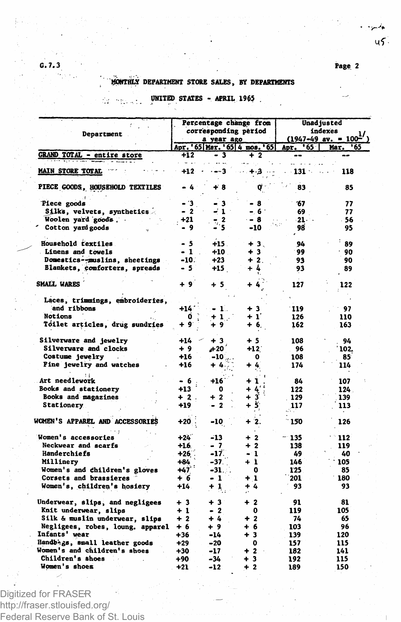#### **6\*7\*3 Page 2**

# **MONTHLY DEPARTMENT STORE SALES, BY DEPARTMENTS**

# **UNITED STATES - APRIL 19\*5 .**

| Department<br>$(1947-49$ av. = $100^{1/}$<br>a year ago<br>Apr. '65 Mar. '65 4 mos. '65<br>$^{\circ}$ 65 $^{\circ}$<br>Apr.<br>Mar.<br><b>GRAND TOTAL - entire store</b><br>$-3$<br>$+2$<br>+12<br>.<br>$+12$<br><b>MAIN STORE TOTAL</b><br>- - - 3<br>$131 -$<br>118<br>PIECE GOODS, HOUSEHOLD TEXTILES<br>- 4<br>+ 8<br>σ<br>83<br>85<br>Piece goods<br>- 3<br>- 3<br>- 8<br>Έ7<br>77<br>- 2<br>- 1 -<br>Silks, velvets, synthetics<br>- 6<br>69<br>77<br>Woolen yard goods.<br>$+21$<br>$-2$<br>$-21$<br>- - 8<br>- 56<br>- 5<br>Cotton yard goods<br>- 9<br>-10<br>98<br>95<br><b>Household textiles</b><br>- 5<br>$+15$ .<br>89<br>$+3.$<br>94<br>Linens and towels<br>- 1<br>$+3$<br>- 99<br>+10<br>90<br>$+23$<br>Domestics-muslins, sheetings<br>-10.<br>$+2.$<br>93<br>90<br>Blankets, comforters, spreads<br>- 5<br>4<br>+15<br>93<br>۰<br>89<br><b>SMALL WARES</b><br>$+9°$<br>+ 5<br>127<br>122<br>Laces, trimmings, embroideries,<br>$+14°$<br>and ribbons<br>$-1$ .<br>119<br>97<br>+ 3<br><b>Notions</b><br>٥<br>+ 1<br>126<br>1<br>110<br>+ 9<br><b>Toilet articles, drug sundries</b><br>9<br>163<br>+<br>6.<br>162<br><b>Silverware and jewelry</b><br>$+14$<br>$+3$<br>+ 5<br>108<br>94<br>Silverware and clocks<br>+ 9<br>+20<br>$+12^{\circ}$<br>96<br>102,<br>Costume jewelry<br>+16<br>$-10^{\circ}$<br>0<br>108<br>85<br>Fine jewelry and watches<br>$+16$<br>+ 4<br>174<br>114<br>+ 4<br>Art needlework<br>$+1$<br>$+16$<br>107<br>- 6<br>84<br>$\frac{4}{3}$<br>Books and stationery<br>+13<br>O<br>122<br>124.<br>÷<br>$+2$<br>Books and magazines<br>$+2.$<br>129<br>139 | '65 |
|------------------------------------------------------------------------------------------------------------------------------------------------------------------------------------------------------------------------------------------------------------------------------------------------------------------------------------------------------------------------------------------------------------------------------------------------------------------------------------------------------------------------------------------------------------------------------------------------------------------------------------------------------------------------------------------------------------------------------------------------------------------------------------------------------------------------------------------------------------------------------------------------------------------------------------------------------------------------------------------------------------------------------------------------------------------------------------------------------------------------------------------------------------------------------------------------------------------------------------------------------------------------------------------------------------------------------------------------------------------------------------------------------------------------------------------------------------------------------------------------------------------------------------------------------------------------------------------------------|-----|
|                                                                                                                                                                                                                                                                                                                                                                                                                                                                                                                                                                                                                                                                                                                                                                                                                                                                                                                                                                                                                                                                                                                                                                                                                                                                                                                                                                                                                                                                                                                                                                                                      |     |
|                                                                                                                                                                                                                                                                                                                                                                                                                                                                                                                                                                                                                                                                                                                                                                                                                                                                                                                                                                                                                                                                                                                                                                                                                                                                                                                                                                                                                                                                                                                                                                                                      |     |
|                                                                                                                                                                                                                                                                                                                                                                                                                                                                                                                                                                                                                                                                                                                                                                                                                                                                                                                                                                                                                                                                                                                                                                                                                                                                                                                                                                                                                                                                                                                                                                                                      |     |
|                                                                                                                                                                                                                                                                                                                                                                                                                                                                                                                                                                                                                                                                                                                                                                                                                                                                                                                                                                                                                                                                                                                                                                                                                                                                                                                                                                                                                                                                                                                                                                                                      |     |
|                                                                                                                                                                                                                                                                                                                                                                                                                                                                                                                                                                                                                                                                                                                                                                                                                                                                                                                                                                                                                                                                                                                                                                                                                                                                                                                                                                                                                                                                                                                                                                                                      |     |
|                                                                                                                                                                                                                                                                                                                                                                                                                                                                                                                                                                                                                                                                                                                                                                                                                                                                                                                                                                                                                                                                                                                                                                                                                                                                                                                                                                                                                                                                                                                                                                                                      |     |
|                                                                                                                                                                                                                                                                                                                                                                                                                                                                                                                                                                                                                                                                                                                                                                                                                                                                                                                                                                                                                                                                                                                                                                                                                                                                                                                                                                                                                                                                                                                                                                                                      |     |
|                                                                                                                                                                                                                                                                                                                                                                                                                                                                                                                                                                                                                                                                                                                                                                                                                                                                                                                                                                                                                                                                                                                                                                                                                                                                                                                                                                                                                                                                                                                                                                                                      |     |
|                                                                                                                                                                                                                                                                                                                                                                                                                                                                                                                                                                                                                                                                                                                                                                                                                                                                                                                                                                                                                                                                                                                                                                                                                                                                                                                                                                                                                                                                                                                                                                                                      |     |
|                                                                                                                                                                                                                                                                                                                                                                                                                                                                                                                                                                                                                                                                                                                                                                                                                                                                                                                                                                                                                                                                                                                                                                                                                                                                                                                                                                                                                                                                                                                                                                                                      |     |
|                                                                                                                                                                                                                                                                                                                                                                                                                                                                                                                                                                                                                                                                                                                                                                                                                                                                                                                                                                                                                                                                                                                                                                                                                                                                                                                                                                                                                                                                                                                                                                                                      |     |
|                                                                                                                                                                                                                                                                                                                                                                                                                                                                                                                                                                                                                                                                                                                                                                                                                                                                                                                                                                                                                                                                                                                                                                                                                                                                                                                                                                                                                                                                                                                                                                                                      |     |
|                                                                                                                                                                                                                                                                                                                                                                                                                                                                                                                                                                                                                                                                                                                                                                                                                                                                                                                                                                                                                                                                                                                                                                                                                                                                                                                                                                                                                                                                                                                                                                                                      |     |
|                                                                                                                                                                                                                                                                                                                                                                                                                                                                                                                                                                                                                                                                                                                                                                                                                                                                                                                                                                                                                                                                                                                                                                                                                                                                                                                                                                                                                                                                                                                                                                                                      |     |
|                                                                                                                                                                                                                                                                                                                                                                                                                                                                                                                                                                                                                                                                                                                                                                                                                                                                                                                                                                                                                                                                                                                                                                                                                                                                                                                                                                                                                                                                                                                                                                                                      |     |
|                                                                                                                                                                                                                                                                                                                                                                                                                                                                                                                                                                                                                                                                                                                                                                                                                                                                                                                                                                                                                                                                                                                                                                                                                                                                                                                                                                                                                                                                                                                                                                                                      |     |
|                                                                                                                                                                                                                                                                                                                                                                                                                                                                                                                                                                                                                                                                                                                                                                                                                                                                                                                                                                                                                                                                                                                                                                                                                                                                                                                                                                                                                                                                                                                                                                                                      |     |
|                                                                                                                                                                                                                                                                                                                                                                                                                                                                                                                                                                                                                                                                                                                                                                                                                                                                                                                                                                                                                                                                                                                                                                                                                                                                                                                                                                                                                                                                                                                                                                                                      |     |
|                                                                                                                                                                                                                                                                                                                                                                                                                                                                                                                                                                                                                                                                                                                                                                                                                                                                                                                                                                                                                                                                                                                                                                                                                                                                                                                                                                                                                                                                                                                                                                                                      |     |
|                                                                                                                                                                                                                                                                                                                                                                                                                                                                                                                                                                                                                                                                                                                                                                                                                                                                                                                                                                                                                                                                                                                                                                                                                                                                                                                                                                                                                                                                                                                                                                                                      |     |
|                                                                                                                                                                                                                                                                                                                                                                                                                                                                                                                                                                                                                                                                                                                                                                                                                                                                                                                                                                                                                                                                                                                                                                                                                                                                                                                                                                                                                                                                                                                                                                                                      |     |
|                                                                                                                                                                                                                                                                                                                                                                                                                                                                                                                                                                                                                                                                                                                                                                                                                                                                                                                                                                                                                                                                                                                                                                                                                                                                                                                                                                                                                                                                                                                                                                                                      |     |
|                                                                                                                                                                                                                                                                                                                                                                                                                                                                                                                                                                                                                                                                                                                                                                                                                                                                                                                                                                                                                                                                                                                                                                                                                                                                                                                                                                                                                                                                                                                                                                                                      |     |
|                                                                                                                                                                                                                                                                                                                                                                                                                                                                                                                                                                                                                                                                                                                                                                                                                                                                                                                                                                                                                                                                                                                                                                                                                                                                                                                                                                                                                                                                                                                                                                                                      |     |
|                                                                                                                                                                                                                                                                                                                                                                                                                                                                                                                                                                                                                                                                                                                                                                                                                                                                                                                                                                                                                                                                                                                                                                                                                                                                                                                                                                                                                                                                                                                                                                                                      |     |
|                                                                                                                                                                                                                                                                                                                                                                                                                                                                                                                                                                                                                                                                                                                                                                                                                                                                                                                                                                                                                                                                                                                                                                                                                                                                                                                                                                                                                                                                                                                                                                                                      |     |
| -5<br>Stationery<br>$+19$<br>$-2$<br>$\ddot{}$<br>117                                                                                                                                                                                                                                                                                                                                                                                                                                                                                                                                                                                                                                                                                                                                                                                                                                                                                                                                                                                                                                                                                                                                                                                                                                                                                                                                                                                                                                                                                                                                                |     |
| 113                                                                                                                                                                                                                                                                                                                                                                                                                                                                                                                                                                                                                                                                                                                                                                                                                                                                                                                                                                                                                                                                                                                                                                                                                                                                                                                                                                                                                                                                                                                                                                                                  |     |
| WOMEN'S APPAREL AND ACCESSORIES<br>+ 2.<br>126<br>$+20.$<br>150<br>-10                                                                                                                                                                                                                                                                                                                                                                                                                                                                                                                                                                                                                                                                                                                                                                                                                                                                                                                                                                                                                                                                                                                                                                                                                                                                                                                                                                                                                                                                                                                               |     |
| Women's accessories<br>$+26$<br>$-13$<br>$+2$<br>- 135<br>112                                                                                                                                                                                                                                                                                                                                                                                                                                                                                                                                                                                                                                                                                                                                                                                                                                                                                                                                                                                                                                                                                                                                                                                                                                                                                                                                                                                                                                                                                                                                        |     |
| Neckwear and scarfs<br>- 7<br>$+2$<br>$+16.$<br>138<br>119                                                                                                                                                                                                                                                                                                                                                                                                                                                                                                                                                                                                                                                                                                                                                                                                                                                                                                                                                                                                                                                                                                                                                                                                                                                                                                                                                                                                                                                                                                                                           |     |
| -17.<br>$-1$<br>Handerchiefs<br>$+26^\circ$<br>49<br>40                                                                                                                                                                                                                                                                                                                                                                                                                                                                                                                                                                                                                                                                                                                                                                                                                                                                                                                                                                                                                                                                                                                                                                                                                                                                                                                                                                                                                                                                                                                                              |     |
| Millinerv<br>$+84$<br>-37.<br>+ 1<br>105<br>146                                                                                                                                                                                                                                                                                                                                                                                                                                                                                                                                                                                                                                                                                                                                                                                                                                                                                                                                                                                                                                                                                                                                                                                                                                                                                                                                                                                                                                                                                                                                                      |     |
| Women's and children's gloves<br>+47<br>$-31.$ .<br>0<br>85<br>125                                                                                                                                                                                                                                                                                                                                                                                                                                                                                                                                                                                                                                                                                                                                                                                                                                                                                                                                                                                                                                                                                                                                                                                                                                                                                                                                                                                                                                                                                                                                   |     |
| $-1$<br>Corsets and brassieres<br>180<br>+ 6<br>+ 1<br>201                                                                                                                                                                                                                                                                                                                                                                                                                                                                                                                                                                                                                                                                                                                                                                                                                                                                                                                                                                                                                                                                                                                                                                                                                                                                                                                                                                                                                                                                                                                                           |     |
| Women's, children's hosiery<br>+14<br>$\mathbf{h}_{\mathrm{in}}$<br>+ 4<br>93<br>93                                                                                                                                                                                                                                                                                                                                                                                                                                                                                                                                                                                                                                                                                                                                                                                                                                                                                                                                                                                                                                                                                                                                                                                                                                                                                                                                                                                                                                                                                                                  |     |
| Underwear, slips, and negligees<br>+ 3<br>$+3$<br>$+2$<br>91<br>81                                                                                                                                                                                                                                                                                                                                                                                                                                                                                                                                                                                                                                                                                                                                                                                                                                                                                                                                                                                                                                                                                                                                                                                                                                                                                                                                                                                                                                                                                                                                   |     |
| Knit underwear, slips<br>+ 1<br>- 2<br>0<br>119<br>105                                                                                                                                                                                                                                                                                                                                                                                                                                                                                                                                                                                                                                                                                                                                                                                                                                                                                                                                                                                                                                                                                                                                                                                                                                                                                                                                                                                                                                                                                                                                               |     |
| Silk & muslin underwear, slips<br>$+2$<br>$+2$<br>+ 4<br>74<br>65                                                                                                                                                                                                                                                                                                                                                                                                                                                                                                                                                                                                                                                                                                                                                                                                                                                                                                                                                                                                                                                                                                                                                                                                                                                                                                                                                                                                                                                                                                                                    |     |
| Negligees, robes, loung, apparel<br>$+9$<br>+ 6<br>$+6$<br>103<br>96                                                                                                                                                                                                                                                                                                                                                                                                                                                                                                                                                                                                                                                                                                                                                                                                                                                                                                                                                                                                                                                                                                                                                                                                                                                                                                                                                                                                                                                                                                                                 |     |
| Infants' wear<br>$+3$<br>120<br>$+36$<br>-14<br>139                                                                                                                                                                                                                                                                                                                                                                                                                                                                                                                                                                                                                                                                                                                                                                                                                                                                                                                                                                                                                                                                                                                                                                                                                                                                                                                                                                                                                                                                                                                                                  |     |
| Handb-gs, small leather goods<br>$+29$<br>$-20$<br>٥<br>157<br>115                                                                                                                                                                                                                                                                                                                                                                                                                                                                                                                                                                                                                                                                                                                                                                                                                                                                                                                                                                                                                                                                                                                                                                                                                                                                                                                                                                                                                                                                                                                                   |     |
| Women's and children's shoes<br>$+2$<br>$+30$<br>-17<br>182<br>141                                                                                                                                                                                                                                                                                                                                                                                                                                                                                                                                                                                                                                                                                                                                                                                                                                                                                                                                                                                                                                                                                                                                                                                                                                                                                                                                                                                                                                                                                                                                   |     |
| Children's shoes<br>$\overline{\mathbf{3}}$<br>+90<br>-34<br>192<br>115<br>۰                                                                                                                                                                                                                                                                                                                                                                                                                                                                                                                                                                                                                                                                                                                                                                                                                                                                                                                                                                                                                                                                                                                                                                                                                                                                                                                                                                                                                                                                                                                         |     |
| Women's shoes<br>$+21$<br>$+2$<br>150<br>-12<br>189                                                                                                                                                                                                                                                                                                                                                                                                                                                                                                                                                                                                                                                                                                                                                                                                                                                                                                                                                                                                                                                                                                                                                                                                                                                                                                                                                                                                                                                                                                                                                  |     |

Digitized for FRASER http://fraser.stlouisfed.org/ Federal Reserve Bank of St. Louis

 $\mathcal{C}_{\mathcal{A}}$ nto et.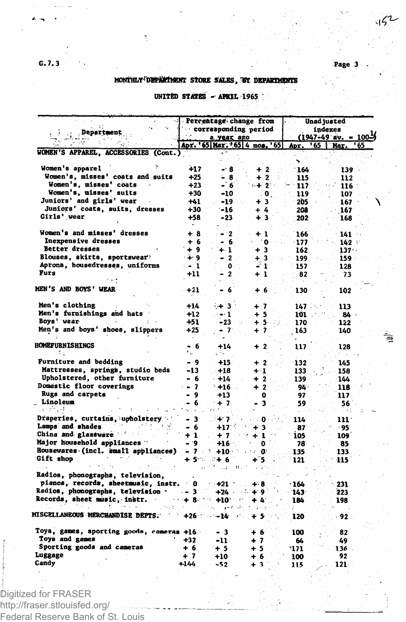#### **Page 3**

 $15<sup>2</sup>$ 

# **M0NTHLY'?DT8tASrtMENT STORE SALES, 'Wf.**

## **Percentage^change from Unadjusted - • corresponding period . indexes Department a year aeo (1947-49 av. • 100^**  7€ **r\*« '651Mar.\*6514 mom. '65 65 WOMEN'S APPAREL, ACCESSORIES (Cont.) Women's apparel +17 - 8 + 2 164 139 Women's, misses' coats and suits +25 - 8 + 2 115 112 Women's, misses' coats +23 - 6 • •-'•+' 2"'- 117 116 Women's, misses' suits +30 -10 0. 119 107 Juniors' and girls' wear +41 -19 + 3 2b5 167 Juniors' coats, suits, dresses +30 -16 + 4 208 167 Girls<sup>1</sup> wear +58 -23 + <sup>3</sup> 202 168 Women's and misses' dresses + 8 - 2 + 1 166 141 Inexpensive dresses + 6 6 0 177 142**<br>**Better dresses 142 + 9 + 1 + 3 162 137 Better dresses + 9 + 1 + 3 162 137 Blouses, skirts, sportswear" + 9 - 2 + 3 199 159 Aprons, housedresses, uniforms - 1 0 - 1 157 128 Furs**  $+11 - 2 - 1 + 1$ ,  $-2 - 8 - 8$ **MEN'S AND BOYS' WEAR +21 - 6 + 6 130 102 Men's clothing +14 - + 3 + 7 147 113 Men's furnishings and hats +12 - 1 + 5 101 84 Boys<sup>1</sup> wear- +51 -23 + <sup>5</sup> 170 122 Men's and boys' shoes, slippers +25 - 7 + 7 ,163 140 HOMBFURNISHINGS - 6 +14 + 2 117 128 Furniture and bedding - 9 +15 + 2 132 145 Mattresses, spring\*, studio beds -13 +18 + 1 133 ; 158 Upholstered, other furniture - 6 +14 + 2 139 144 Domestic floor coverings - 7 +16 + 2 94 118 Rugs** and **carpets 117 complexity 117 complexity 117 complexity complexity complexity complexity complexity complexity complexity complexity complexity complexity complexity complexity ... Linoleum - 6 + 7 - 3 59 56 Draperies, curtains, upholstery - 1 3 1 7 1 0 114 111 111 111 111 111 111 111 111 111 111 111 111 111 111 111 111 111 111 111 111 111 111 111 111 111 111 Lamps and shades - 6 +17 + 3 87 95 China and glassware ' + 1 + 7 + 1 105 109 Major household appliances " - 9 +16 0 78 85 Housewares (incl. small appliances) -** 7 **+10 a 135 135 133 cift shop - 415 121 115 115 Gift shop + 5 + 6 + 5 121 115 Radios, phonographs, television, pianos, records, sheetmusic, instr, 0 +21 + 8 164 231 Radios, phonographs, television \* - - 3 +24 - + 9 143 223 Records, sheet music, inbtr. + 8 410 198 198 <b>198 198 198 198 198 198 MISCELLANEOUS MERCHANDISE DBPTS. +26 -14 \*' + 5 ; 120 92 Toys, games, sporting goods, cameras**  $+16$  **-** 3  $+6$  **100** 82<br> **Toys and games**  $+32$  **-11**  $+7$  64 49 **Toys and games +32** -11 + 7 64 49<br> **Sporting goods and cameras** + 6 + 5 + 5 171 136 **Conting goods and cameras**  $+6$   $+5$   $+5$   $+10$   $+6$   $100$   $92$ **Luggage + 7 +10 + 6 100 92 Candy +144**  $\frac{1}{2}$  **-52**  $\frac{1}{2}$  **115** 121

**UNITfiD STATES - APRIL 1965**

Digitized for FRASER http://fraser.stlouisfed.org/

Federal Reserve Bank of St. Louis